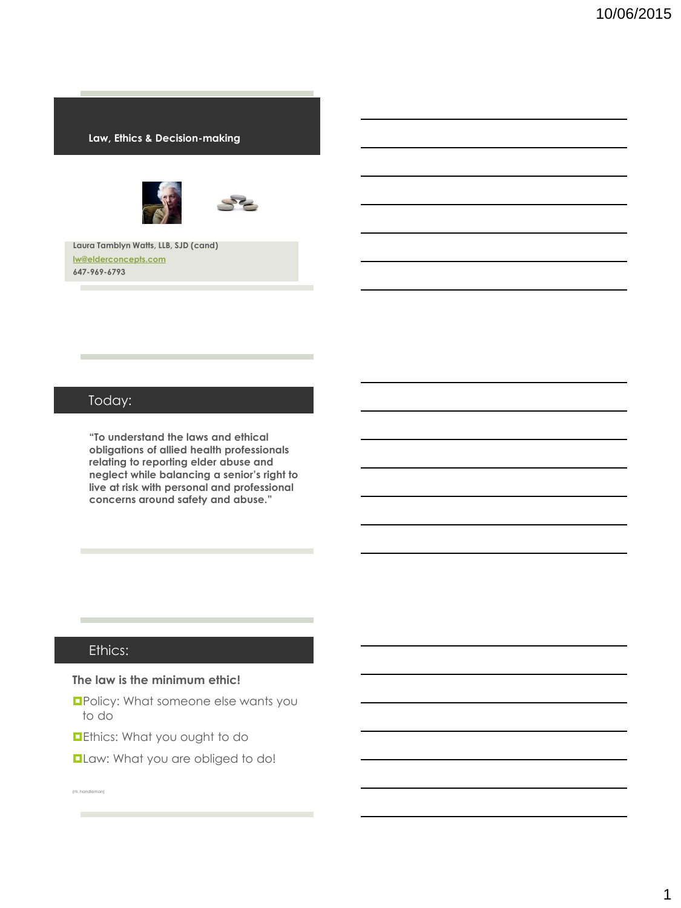#### **Law, Ethics & Decision-making**





**Laura Tamblyn Watts, LLB, SJD (cand) [lw@elderconcepts.com](mailto:lw@elderconcepts.com) 647-969-6793**

### Today:

**"To understand the laws and ethical obligations of allied health professionals relating to reporting elder abuse and neglect while balancing a senior's right to live at risk with personal and professional concerns around safety and abuse."**

### Ethics:

**College** 

#### **The law is the minimum ethic!**

**OPolicy: What someone else wants you** to do

**Dethics: What you ought to do** 

**Law: What you are obliged to do!** 

(m. handleman)m.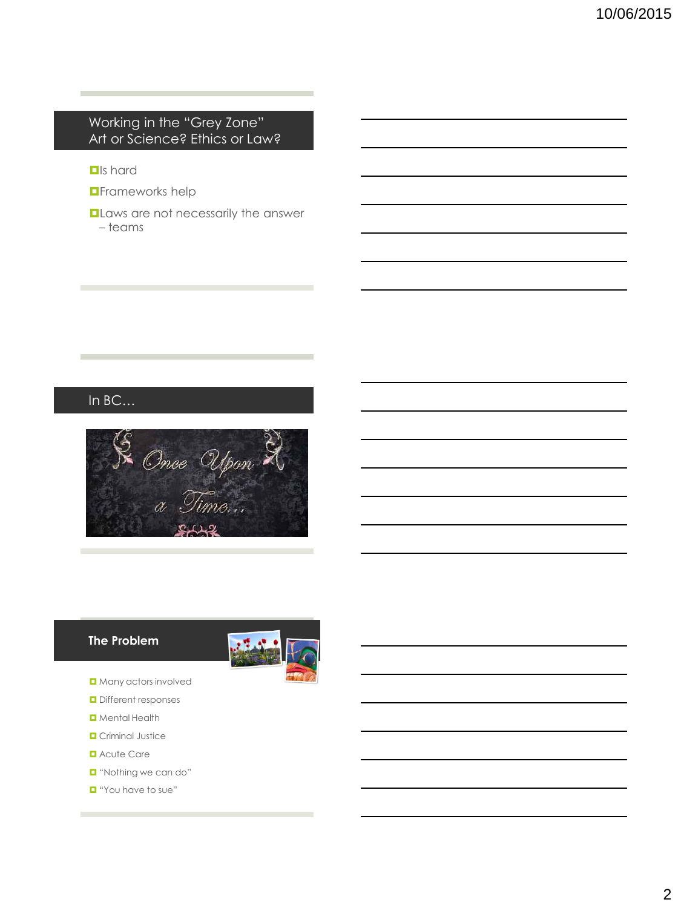## Working in the "Grey Zone" Art or Science? Ethics or Law?

#### **D**Is hard

- **D**Frameworks help
- **Laws are not necessarily the answer** – teams

## In BC…



#### **The Problem**



- **D** Many actors involved
- **D** Different responses
- **D** Mental Health
- **D** Criminal Justice
- **D** Acute Care
- **D** "Nothing we can do"
- **D** "You have to sue"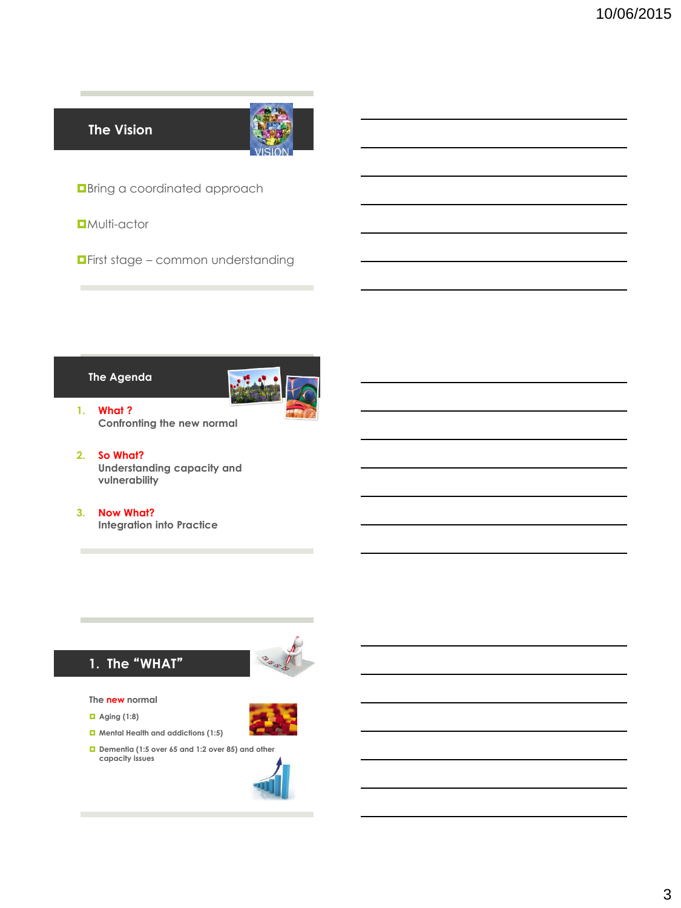**The Vision**



**D**Bring a coordinated approach

**D**Multi-actor

**<u>DFirst stage – common understanding</u>** 

#### **The Agenda**



**1. What ? Confronting the new normal**

- **2. So What? Understanding capacity and vulnerability**
- **3. Now What? Integration into Practice**



**The new normal**

**1. The** "**WHAT**"

- **Aging (1:8)**
- **Mental Health and addictions (1:5)**
- **Dementia (1:5 over 65 and 1:2 over 85) and other capacity issues**

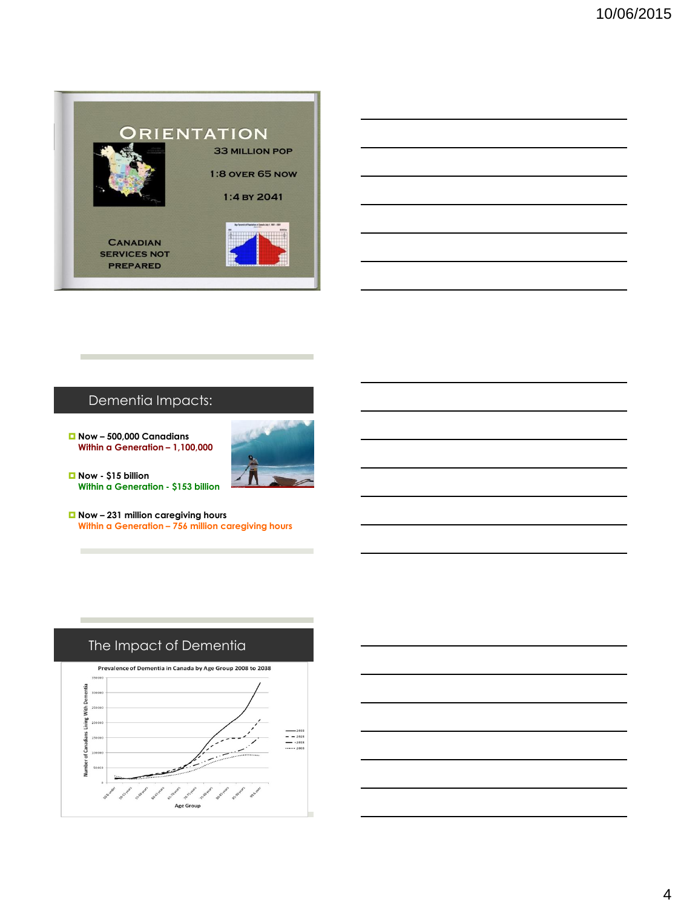

## Dementia Impacts:

 **Now – 500,000 Canadians Within a Generation – 1,100,000**



 **Now - \$15 billion Within a Generation - \$153 billion**

**College** 

 **Now – 231 million caregiving hours Within a Generation – 756 million caregiving hours**



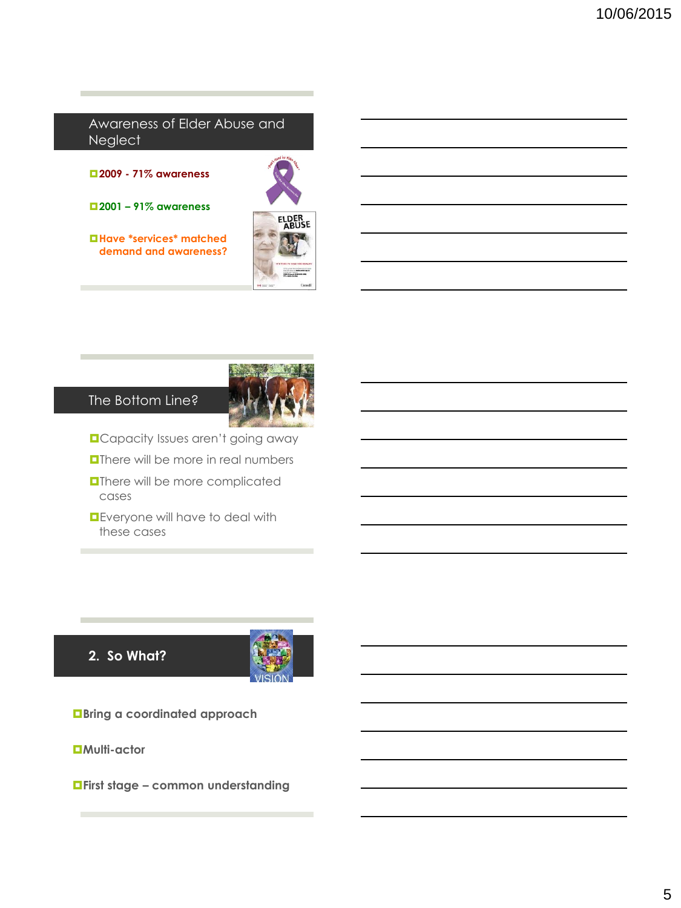#### Awareness of Elder Abuse and **Neglect**

**2009 - 71% awareness**

**2001 – 91% awareness**

**Have \*services\* matched demand and awareness?**





## The Bottom Line?

- **D**Capacity Issues aren't going away
- **O**There will be more in real numbers
- **OThere will be more complicated** cases
- **D** Everyone will have to deal with these cases

**2. So What?**



**Bring a coordinated approach**

**Multi-actor**

**First stage – common understanding**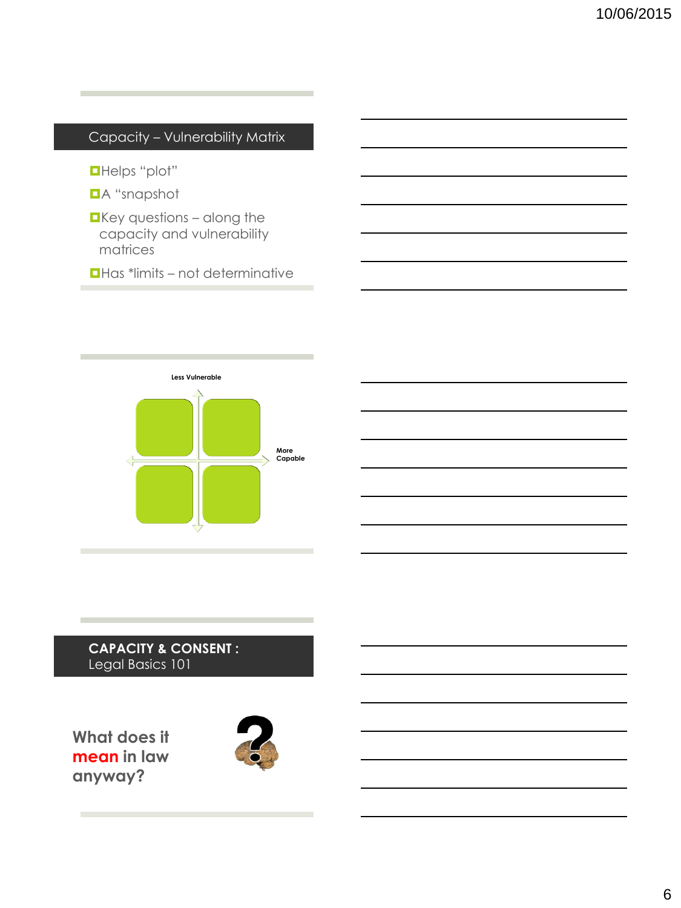| Capacity - Vulnerability Matrix                                                    |  |
|------------------------------------------------------------------------------------|--|
| <b>OHelps</b> "plot"<br><b>DA</b> "snapshot                                        |  |
| $\blacksquare$ Key questions – along the<br>capacity and vulnerability<br>matrices |  |
| $\Box$ Has *limits – not determinative                                             |  |
|                                                                                    |  |



## **CAPACITY & CONSENT :** Legal Basics 101

**What does it mean in law anyway?**

**College** 

**COL** 

**College** 

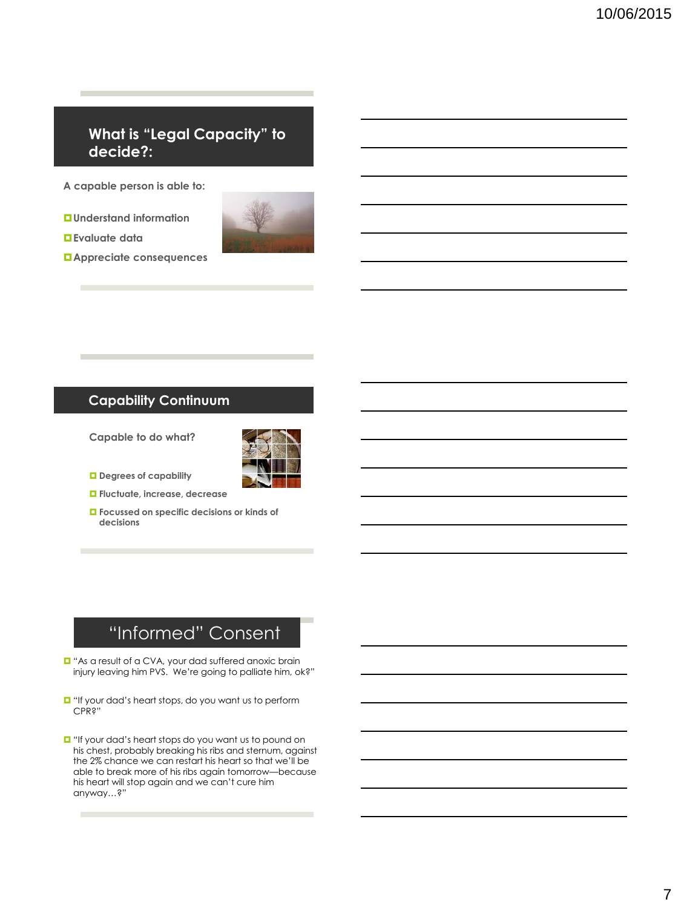## **What is "Legal Capacity" to decide?:**

**A capable person is able to:**

**Understand information**

**Evaluate data**



**Appreciate consequences**

### **Capability Continuum**

**Capable to do what?**



- **Degrees of capability**
- **Fluctuate, increase, decrease**
- **Focussed on specific decisions or kinds of decisions**

# "Informed" Consent

- "As a result of a CVA, your dad suffered anoxic brain injury leaving him PVS. We're going to palliate him, ok?"
- $\Box$  "If your dad's heart stops, do you want us to perform CPR?"
- $\Box$  "If your dad's heart stops do you want us to pound on his chest, probably breaking his ribs and sternum, against the 2% chance we can restart his heart so that we'll be able to break more of his ribs again tomorrow—because his heart will stop again and we can't cure him anyway…?"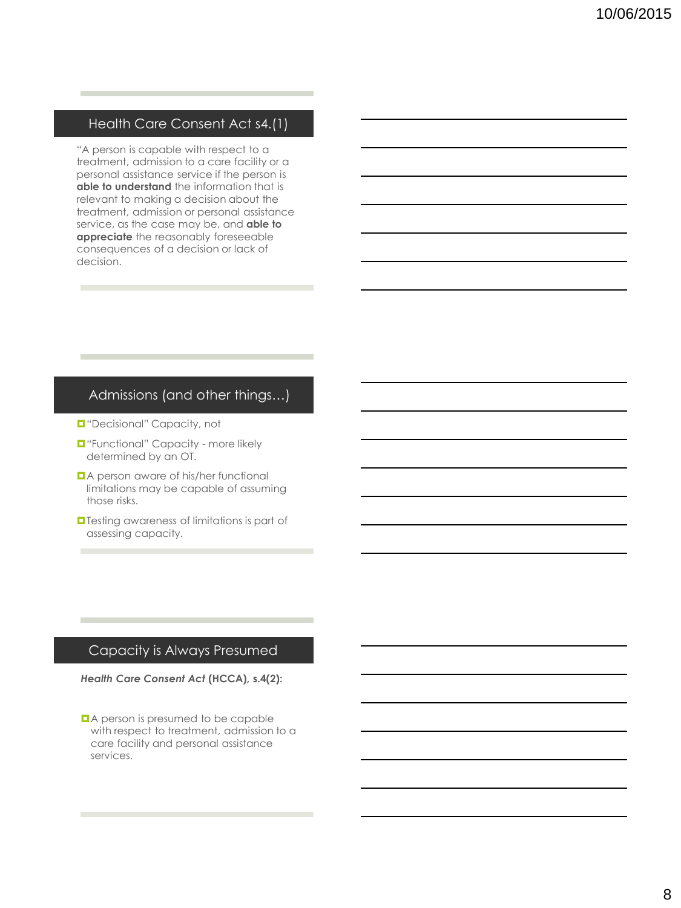#### Health Care Consent Act s4.(1)

"A person is capable with respect to a treatment, admission to a care facility or a personal assistance service if the person is **able to understand** the information that is relevant to making a decision about the treatment, admission or personal assistance service, as the case may be, and **able to appreciate** the reasonably foreseeable consequences of a decision or lack of decision.

#### Admissions (and other things…)

- **D**"Decisional" Capacity, not
- $\Box$  "Functional" Capacity more likely determined by an OT.
- **A** person aware of his/her functional limitations may be capable of assuming those risks.
- **Testing awareness of limitations is part of** assessing capacity.

### Capacity is Always Presumed

*Health Care Consent Act* **(HCCA), s.4(2):**

■ A person is presumed to be capable with respect to treatment, admission to a care facility and personal assistance services.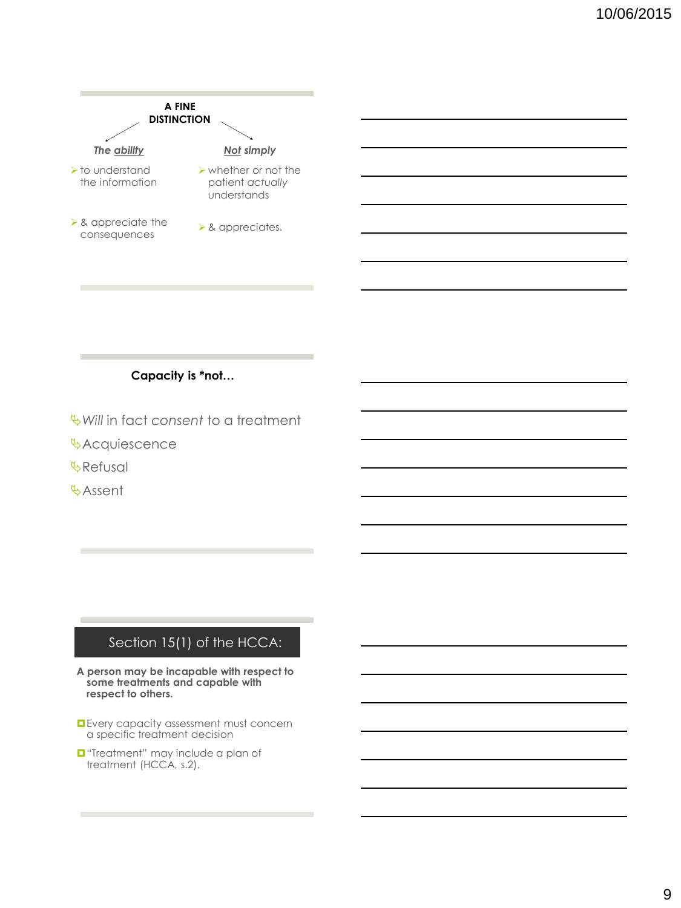

#### **Capacity is \*not…**

- *Will* in fact *consent* to a treatment
- *<u></u>*Acquiescence
- *<u><b>WRefusal</u>*
- **Assent**

### Section 15(1) of the HCCA:

- **A person may be incapable with respect to some treatments and capable with respect to others.**
- **E**very capacity assessment must concern a specific treatment decision
- **T** "Treatment" may include a plan of treatment (HCCA, s.2).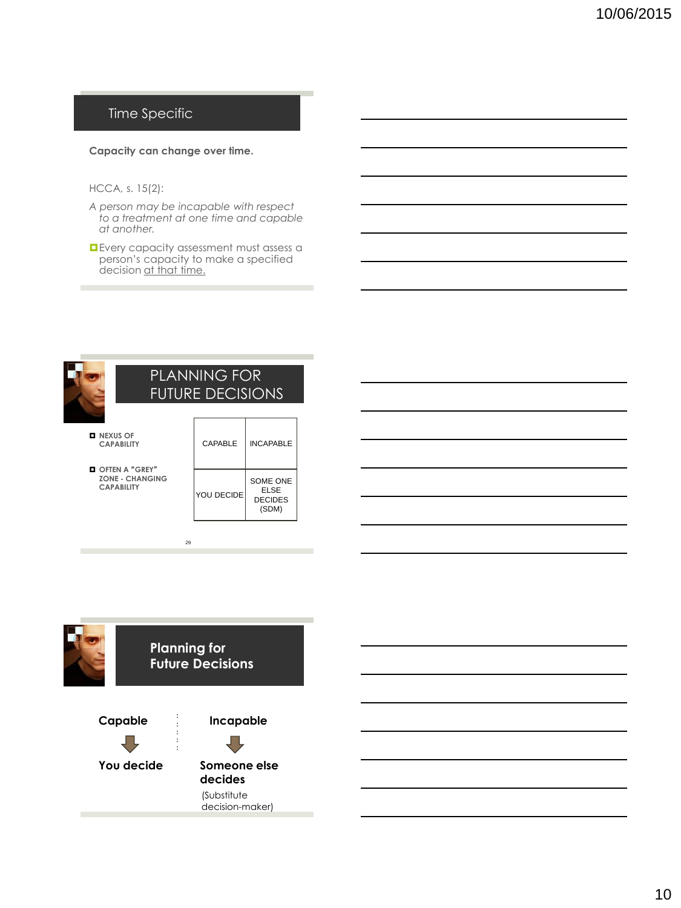## Time Specific

#### **Capacity can change over time.**

#### HCCA, s. 15(2):

- *A person may be incapable with respect to a treatment at one time and capable at another.*
- **D** Every capacity assessment must assess a person's capacity to make a specified decision at that time.



## PLANNING FOR FUTURE DECISIONS

**NEXUS OF CAPABILITY**

 **OFTEN A** "**GREY**" **ZONE - CHANGING CAPABILITY**

| CAPABLE    | <b>INCAPABLE</b>                                   |
|------------|----------------------------------------------------|
| YOU DECIDE | <b>SOME ONE</b><br>ELSE<br><b>DECIDES</b><br>(SDM) |

٦



29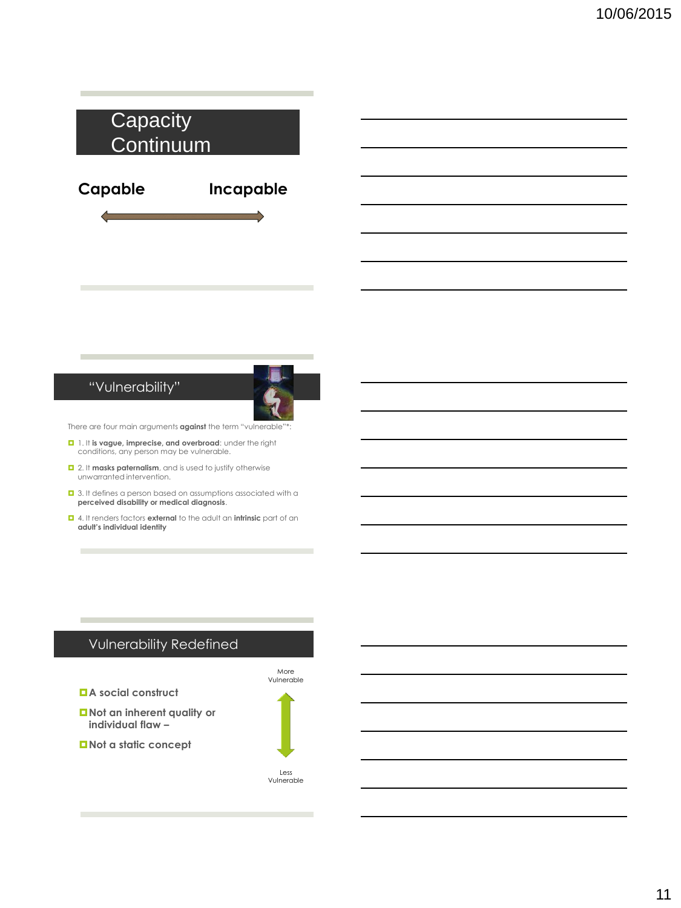

### "Vulnerability"



There are four main arguments **against** the term "vulnerable"\*:

- 1. It **is vague, imprecise, and overbroad**: under the right conditions, any person may be vulnerable.
- 2. It **masks paternalism**, and is used to justify otherwise unwarranted intervention.
- $\Box$  3. It defines a person based on assumptions associated with a **perceived disability or medical diagnosis**.
- 4. It renders factors **external** to the adult an **intrinsic** part of an **adult's individual identity**

## Vulnerability Redefined

**A social construct**

**Not an inherent quality or individual flaw –**

Vulnerable

More

**Not a static concept**

Less Vulnerable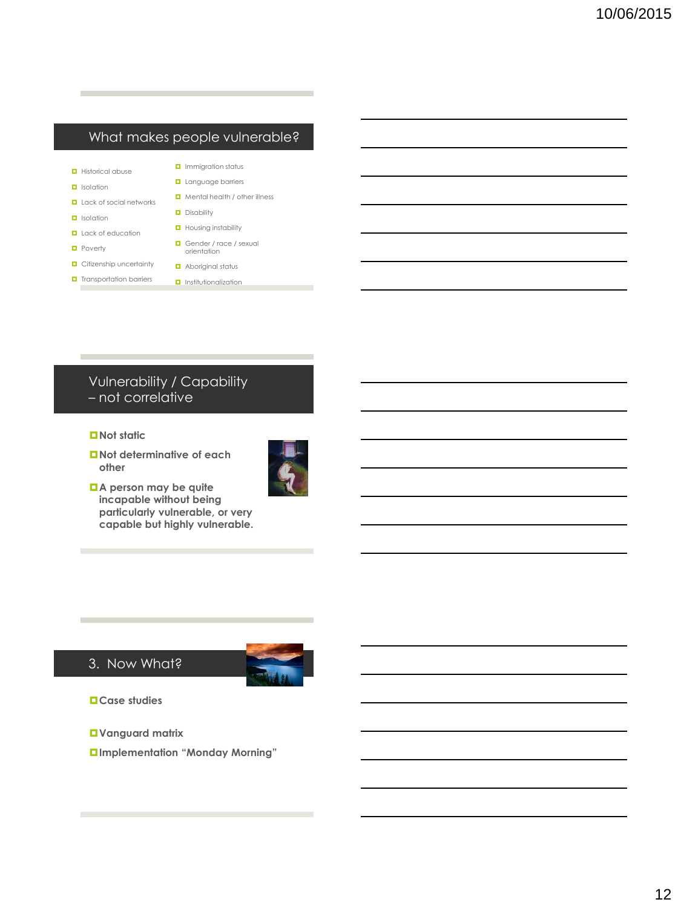## What makes people vulnerable?

- **D** Historical abuse
- $\Box$  Isolation
- **Lack of social networks**
- **I** Isolation
- **Lack of education**
- **D** Poverty
- **D** Citizenship uncertainty
- **D** Transportation barriers
- **Language barriers** Mental health / other illness

**D** Immigration status

- **D** Disability
- **Housing instability**
- Gender / race / sexual orientation
- **D** Aboriginal status **D** Institutionalization

## Vulnerability / Capability – not correlative

#### ■ Not static

**Not determinative of each other** 

**A person may be quite incapable without being particularly vulnerable, or very capable but highly vulnerable.**



### 3. Now What?



**Case studies**

- **Vanguard matrix**
- **Implementation "Monday Morning"**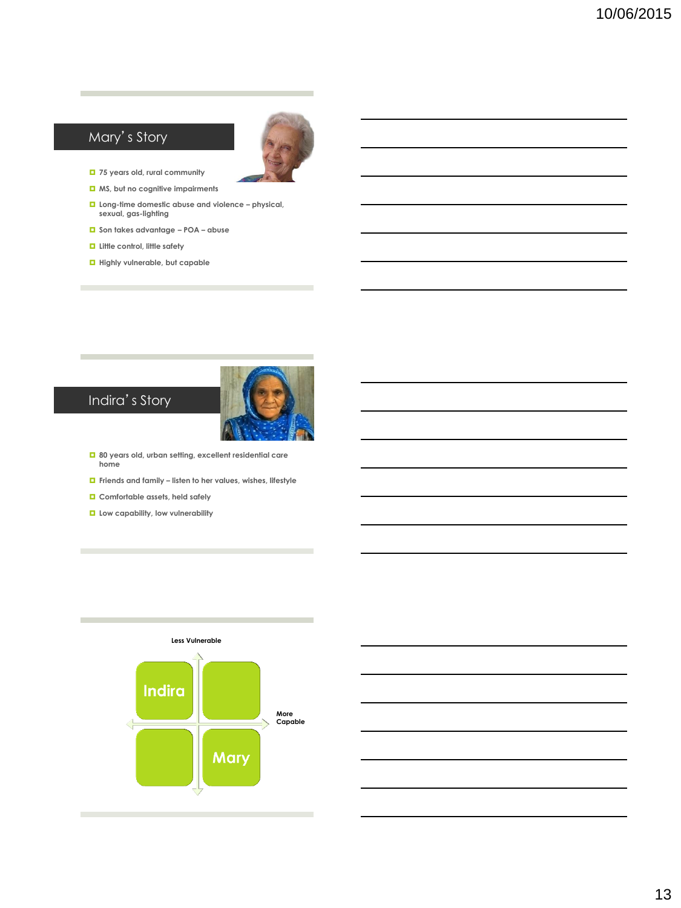## Mary's Story



- **75 years old, rural community**
- **MS, but no cognitive impairments**
- **Long-time domestic abuse and violence – physical, sexual, gas-lighting**
- **Son takes advantage – POA – abuse**
- **Little control, little safety**
- **Highly vulnerable, but capable**



# Indira's Story

- **80 years old, urban setting, excellent residential care home**
- **Friends and family – listen to her values, wishes, lifestyle**
- **Comfortable assets, held safely**
- **L** Low capability, low vulnerability



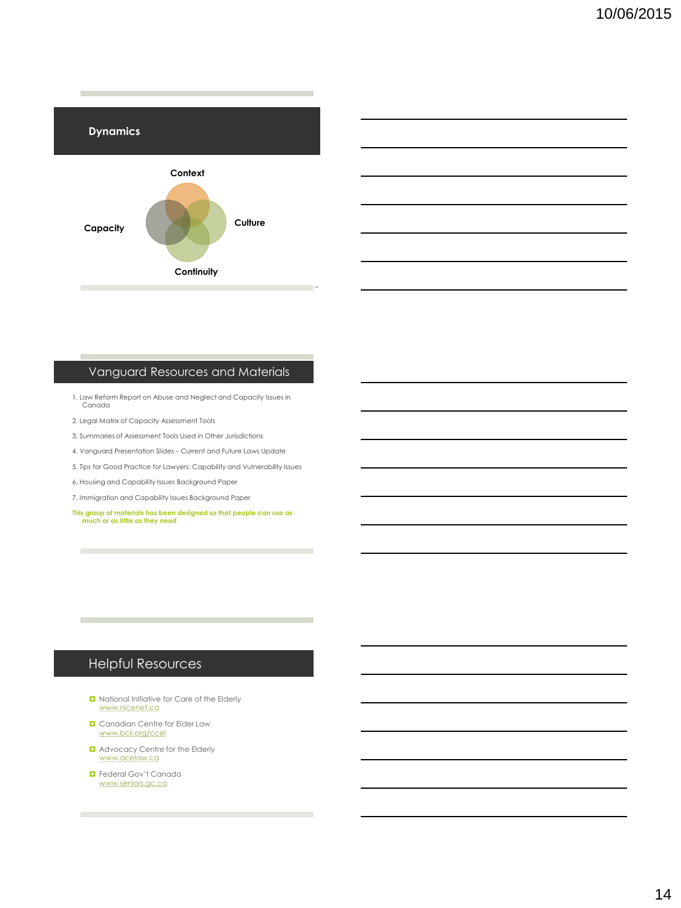

## Vanguard Resources and Materials

- 1. Law Reform Report on Abuse and Neglect and Capacity Issues in Canada
- 2. Legal Matrix of Capacity Assessment Tools
- 3. Summaries of Assessment Tools Used in Other Jurisdictions
- 4. Vanguard Presentation Slides Current and Future Laws Update
- 5. Tips for Good Practice for Lawyers: Capability and Vulnerability Issues
- 6. Housing and Capability Issues Background Paper
- 7. Immigration and Capability Issues Background Paper
- **This group of materials has been designed so that people can use as much or as little as they need**

## Helpful Resources

**College** 

- **D** National Initiative for Care of the Elderly [www.nicenet.ca](http://www.nicenet.ca)
- **D** Canadian Centre for Elder Law [www.bcli.org/ccel](http://www.bcli.org/ccel)
- **Q** Advocacy Centre for the Elderly [www.acelaw.ca](http://www.acelaw.ca)
- Federal Gov't Canada [www.seniors.gc.ca](http://www.seniors.gc.ca)